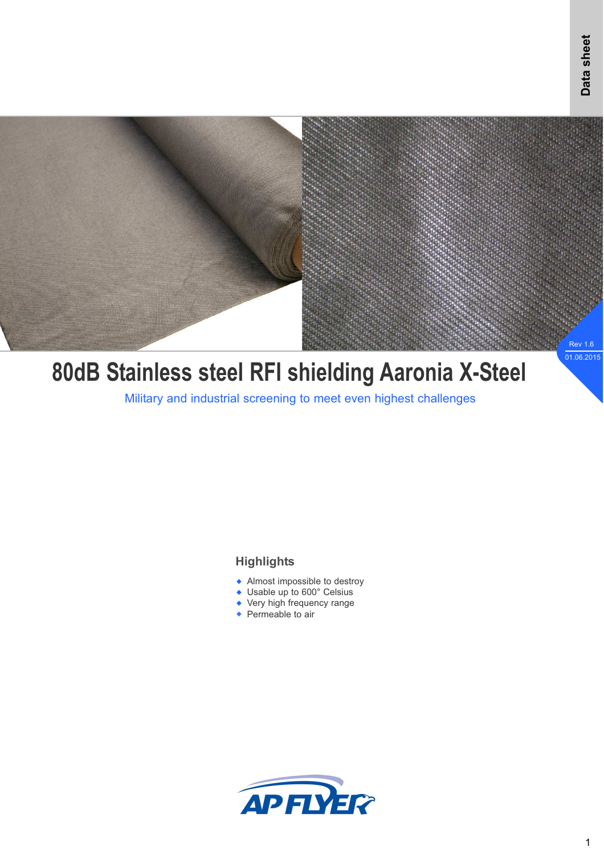

# **80dB Stainless steel RFI shielding Aaronia X-Steel**

Military and industrial screening to meet even highest challenges

### **Highlights**

- Almost impossible to destroy
- ◆ Usable up to 600° Celsius
- Very high frequency range
- ◆ Permeable to air

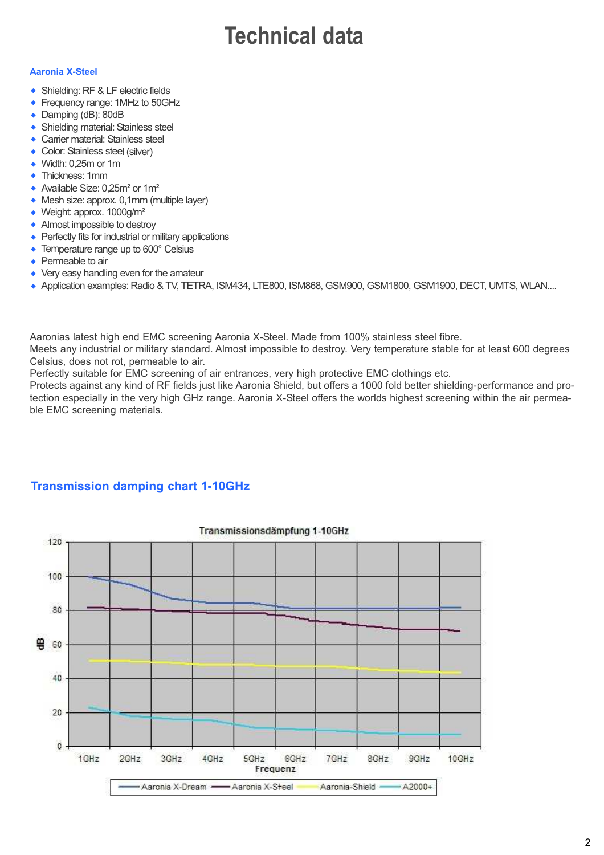## **Technical data**

#### **Aaronia X-Steel**

- ◆ Shielding: RF & LF electric fields
- Frequency range: 1MHz to 50GHz  $\bullet$
- Damping (dB): 80dB  $\bullet$
- Shielding material: Stainless steel  $\ddot{\bullet}$
- Carrier material: Stainless steel w
- Color: Stainless steel (silver)  $\ddot{\bullet}$
- Width: 0,25m or 1m  $\ddot{\bullet}$
- ◆ Thickness: 1mm
- ◆ Available Size: 0,25m<sup>2</sup> or 1m<sup>2</sup>
- ◆ Mesh size: approx. 0,1mm (multiple layer)
- ◆ Weight: approx. 1000g/m<sup>2</sup>
- Almost impossible to destroy
- Perfectly fits for industrial or military applications
- Temperature range up to 600° Celsius  $\bullet$
- Permeable to air  $\bullet$
- Very easy handling even for the amateur
- ◆ Application examples: Radio & TV, TETRA, ISM434, LTE800, ISM868, GSM900, GSM1800, GSM1900, DECT, UMTS, WLAN....

Aaronias latest high end EMC screening Aaronia X-Steel. Made from 100% stainless steel fibre.

Meets any industrial or military standard. Almost impossible to destroy. Very temperature stable for at least 600 degrees Celsius, does not rot, permeable to air.

Perfectly suitable for EMC screening of air entrances, very high protective EMC clothings etc.

Protects against any kind of RF fields just like Aaronia Shield, but offers a 1000 fold better shielding-performance and protection especially in the very high GHz range. Aaronia X-Steel offers the worlds highest screening within the air permeable EMC screening materials.



### **Transmission damping chart 1-10GHz**